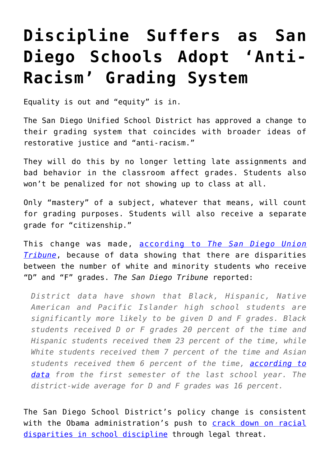## **[Discipline Suffers as San](https://intellectualtakeout.org/2020/11/discipline-suffers-as-san-diego-schools-adopt-anti-racism-grading-system/) [Diego Schools Adopt 'Anti-](https://intellectualtakeout.org/2020/11/discipline-suffers-as-san-diego-schools-adopt-anti-racism-grading-system/)[Racism' Grading System](https://intellectualtakeout.org/2020/11/discipline-suffers-as-san-diego-schools-adopt-anti-racism-grading-system/)**

Equality is out and "equity" is in.

The San Diego Unified School District has approved a change to their grading system that coincides with broader ideas of restorative justice and "anti-racism."

They will do this by no longer letting late assignments and bad behavior in the classroom affect grades. Students also won't be penalized for not showing up to class at all.

Only "mastery" of a subject, whatever that means, will count for grading purposes. Students will also receive a separate grade for "citizenship."

This change was made, [according to](https://www.sandiegouniontribune.com/news/education/story/2020-10-15/san-diego-unified-changes-grading-protocols-to-be-more-equitable) *[The San Diego Union](https://www.sandiegouniontribune.com/news/education/story/2020-10-15/san-diego-unified-changes-grading-protocols-to-be-more-equitable) [Tribune](https://www.sandiegouniontribune.com/news/education/story/2020-10-15/san-diego-unified-changes-grading-protocols-to-be-more-equitable)*, because of data showing that there are disparities between the number of white and minority students who receive "D" and "F" grades. *The San Diego Tribune* reported:

*District data have shown that Black, Hispanic, Native American and Pacific Islander high school students are significantly more likely to be given D and F grades. Black students received D or F grades 20 percent of the time and Hispanic students received them 23 percent of the time, while White students received them 7 percent of the time and Asian students received them 6 percent of the time, [according to](https://go.boarddocs.com/ca/sandi/Board.nsf/files/BRQUES7BBDEB/$file/Final-Building%20Anti-Racist%20%26%20Restorative%20School%20Communities.pdf) [data](https://go.boarddocs.com/ca/sandi/Board.nsf/files/BRQUES7BBDEB/$file/Final-Building%20Anti-Racist%20%26%20Restorative%20School%20Communities.pdf) from the first semester of the last school year. The district-wide average for D and F grades was 16 percent.*

The San Diego School District's policy change is consistent with the Obama administration's push to [crack down on racial](https://www.dailysignal.com/2018/03/13/5-ways-obamas-discipline-policy-made-schools-less-effective-safe/page/3329/) [disparities in school discipline](https://www.dailysignal.com/2018/03/13/5-ways-obamas-discipline-policy-made-schools-less-effective-safe/page/3329/) through legal threat.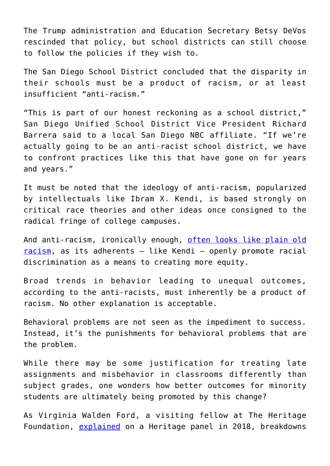The Trump administration and Education Secretary Betsy DeVos rescinded that policy, but school districts can still choose to follow the policies if they wish to.

The San Diego School District concluded that the disparity in their schools must be a product of racism, or at least insufficient "anti-racism."

"This is part of our honest reckoning as a school district," San Diego Unified School District Vice President Richard Barrera said to a local San Diego NBC affiliate. "If we're actually going to be an anti-racist school district, we have to confront practices like this that have gone on for years and years."

It must be noted that the ideology of anti-racism, popularized by intellectuals like Ibram X. Kendi, is based strongly on critical race theories and other ideas once consigned to the radical fringe of college campuses.

And anti-racism, ironically enough, [often looks like plain old](https://www.dailysignal.com/2020/08/10/3-key-concepts-that-woke-anti-racists-believe/) [racism](https://www.dailysignal.com/2020/08/10/3-key-concepts-that-woke-anti-racists-believe/), as its adherents – like Kendi – openly promote racial discrimination as a means to creating more equity.

Broad trends in behavior leading to unequal outcomes, according to the anti-racists, must inherently be a product of racism. No other explanation is acceptable.

Behavioral problems are not seen as the impediment to success. Instead, it's the punishments for behavioral problems that are the problem.

While there may be some justification for treating late assignments and misbehavior in classrooms differently than subject grades, one wonders how better outcomes for minority students are ultimately being promoted by this change?

As Virginia Walden Ford, a visiting fellow at The Heritage Foundation, [explained](https://www.dailysignal.com/2018/03/13/5-ways-obamas-discipline-policy-made-schools-less-effective-safe/page/3329/) on a Heritage panel in 2018, breakdowns